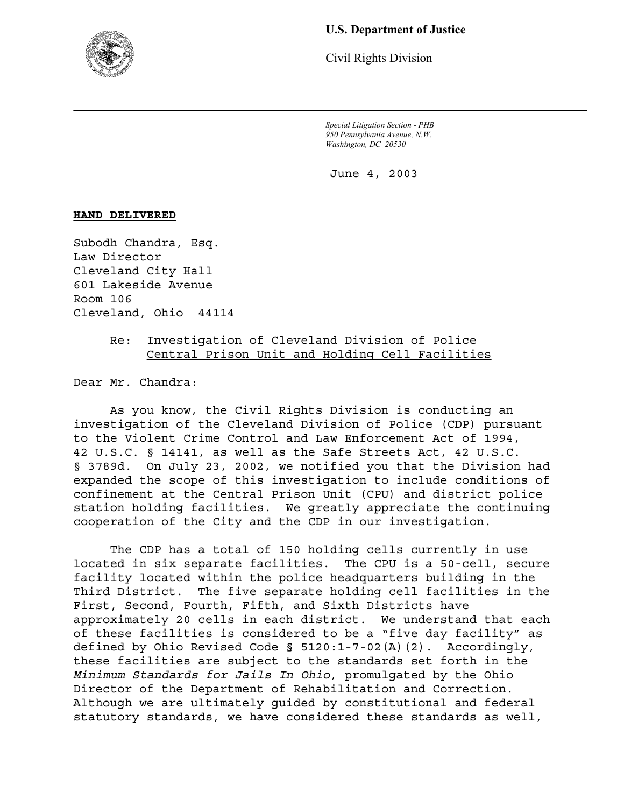

# **U.S. Department of Justice**

Civil Rights Division

*Special Litigation Section - PHB 950 Pennsylvania Avenue, N.W. Washington, DC 20530* 

June 4, 2003

# **HAND DELIVERED**

Subodh Chandra, Esq. Law Director Cleveland City Hall 601 Lakeside Avenue Room 106 Cleveland, Ohio 44114

> Re: Investigation of Cleveland Division of Police Central Prison Unit and Holding Cell Facilities

Dear Mr. Chandra:

As you know, the Civil Rights Division is conducting an investigation of the Cleveland Division of Police (CDP) pursuant to the Violent Crime Control and Law Enforcement Act of 1994, 42 U.S.C. § 14141, as well as the Safe Streets Act, 42 U.S.C. § 3789d. On July 23, 2002, we notified you that the Division had expanded the scope of this investigation to include conditions of confinement at the Central Prison Unit (CPU) and district police station holding facilities. We greatly appreciate the continuing cooperation of the City and the CDP in our investigation.

The CDP has a total of 150 holding cells currently in use located in six separate facilities. The CPU is a 50-cell, secure facility located within the police headquarters building in the Third District. The five separate holding cell facilities in the First, Second, Fourth, Fifth, and Sixth Districts have approximately 20 cells in each district. We understand that each of these facilities is considered to be a "five day facility" as defined by Ohio Revised Code § 5120:1-7-02(A)(2). Accordingly, these facilities are subject to the standards set forth in the *Minimum Standards for Jails In Ohio*, promulgated by the Ohio Director of the Department of Rehabilitation and Correction. Although we are ultimately guided by constitutional and federal statutory standards, we have considered these standards as well,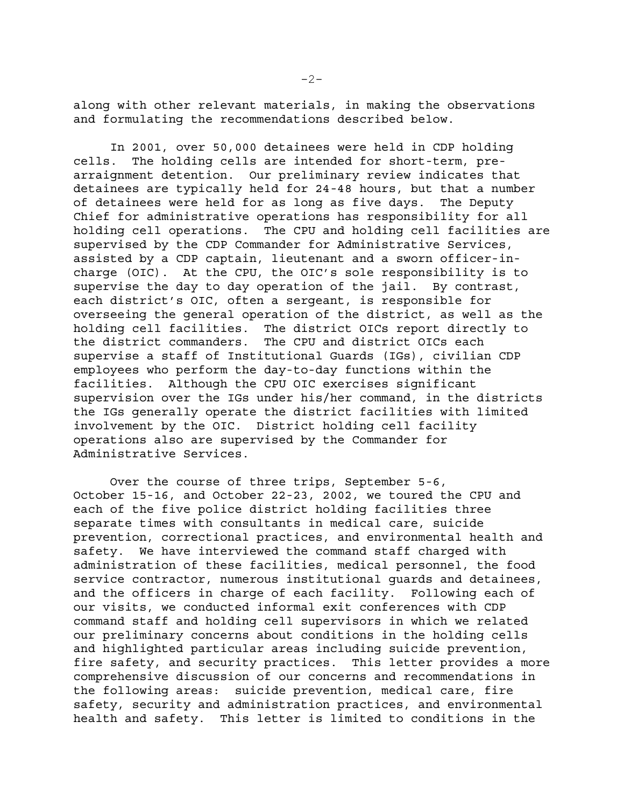along with other relevant materials, in making the observations and formulating the recommendations described below.

In 2001, over 50,000 detainees were held in CDP holding cells. The holding cells are intended for short-term, prearraignment detention. Our preliminary review indicates that detainees are typically held for 24-48 hours, but that a number of detainees were held for as long as five days. The Deputy Chief for administrative operations has responsibility for all holding cell operations. The CPU and holding cell facilities are supervised by the CDP Commander for Administrative Services, assisted by a CDP captain, lieutenant and a sworn officer-incharge (OIC). At the CPU, the OIC's sole responsibility is to supervise the day to day operation of the jail. By contrast, each district's OIC, often a sergeant, is responsible for overseeing the general operation of the district, as well as the holding cell facilities. The district OICs report directly to the district commanders. The CPU and district OICs each supervise a staff of Institutional Guards (IGs), civilian CDP employees who perform the day-to-day functions within the facilities. Although the CPU OIC exercises significant supervision over the IGs under his/her command, in the districts the IGs generally operate the district facilities with limited involvement by the OIC. District holding cell facility operations also are supervised by the Commander for Administrative Services.

Over the course of three trips, September 5-6, October 15-16, and October 22-23, 2002, we toured the CPU and each of the five police district holding facilities three separate times with consultants in medical care, suicide prevention, correctional practices, and environmental health and safety. We have interviewed the command staff charged with administration of these facilities, medical personnel, the food service contractor, numerous institutional guards and detainees, and the officers in charge of each facility. Following each of our visits, we conducted informal exit conferences with CDP command staff and holding cell supervisors in which we related our preliminary concerns about conditions in the holding cells and highlighted particular areas including suicide prevention, fire safety, and security practices. This letter provides a more comprehensive discussion of our concerns and recommendations in the following areas: suicide prevention, medical care, fire safety, security and administration practices, and environmental health and safety. This letter is limited to conditions in the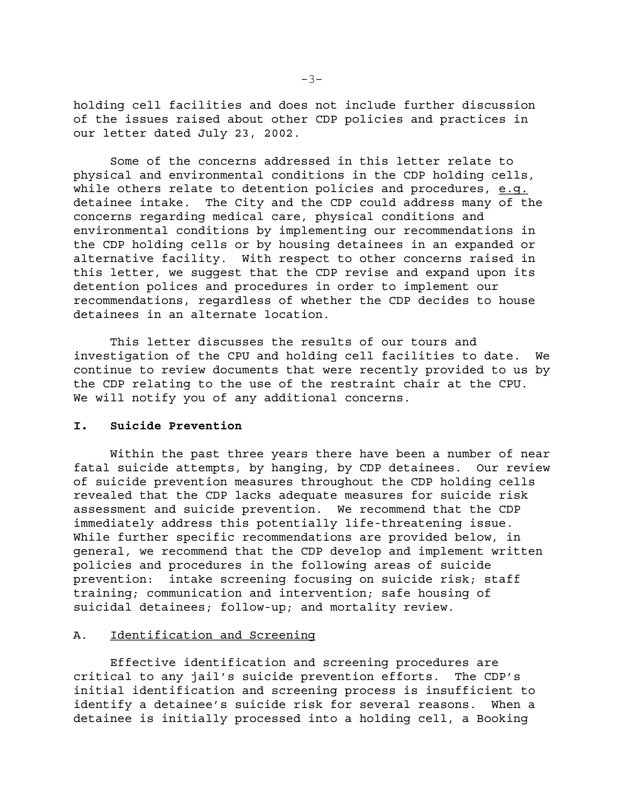holding cell facilities and does not include further discussion of the issues raised about other CDP policies and practices in our letter dated July 23, 2002.

Some of the concerns addressed in this letter relate to physical and environmental conditions in the CDP holding cells, while others relate to detention policies and procedures, e.g. detainee intake. The City and the CDP could address many of the concerns regarding medical care, physical conditions and environmental conditions by implementing our recommendations in the CDP holding cells or by housing detainees in an expanded or alternative facility. With respect to other concerns raised in this letter, we suggest that the CDP revise and expand upon its detention polices and procedures in order to implement our recommendations, regardless of whether the CDP decides to house detainees in an alternate location.

This letter discusses the results of our tours and investigation of the CPU and holding cell facilities to date. We continue to review documents that were recently provided to us by the CDP relating to the use of the restraint chair at the CPU. We will notify you of any additional concerns.

### **I. Suicide Prevention**

Within the past three years there have been a number of near fatal suicide attempts, by hanging, by CDP detainees. Our review of suicide prevention measures throughout the CDP holding cells revealed that the CDP lacks adequate measures for suicide risk assessment and suicide prevention. We recommend that the CDP immediately address this potentially life-threatening issue. While further specific recommendations are provided below, in general, we recommend that the CDP develop and implement written policies and procedures in the following areas of suicide prevention: intake screening focusing on suicide risk; staff training; communication and intervention; safe housing of suicidal detainees; follow-up; and mortality review.

# A. Identification and Screening

Effective identification and screening procedures are critical to any jail's suicide prevention efforts. The CDP's initial identification and screening process is insufficient to identify a detainee's suicide risk for several reasons. When a detainee is initially processed into a holding cell, a Booking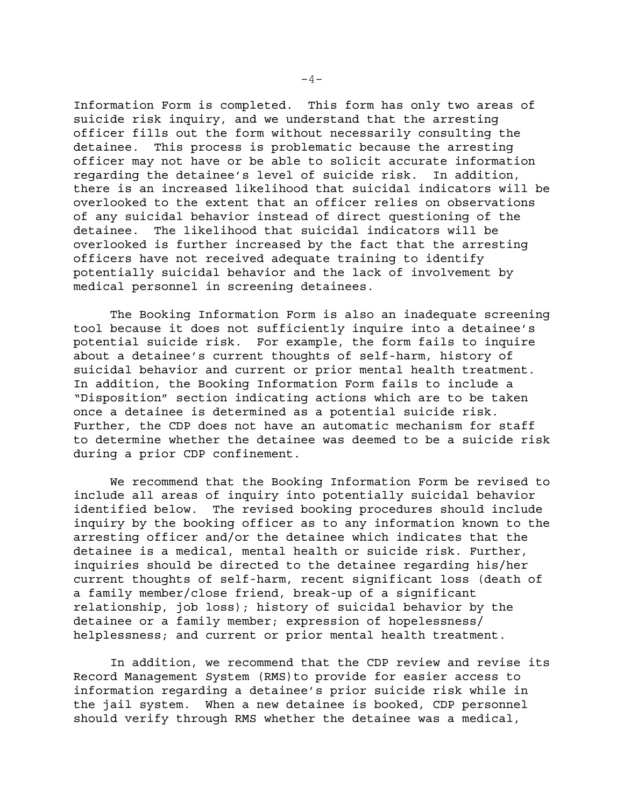Information Form is completed. This form has only two areas of suicide risk inquiry, and we understand that the arresting officer fills out the form without necessarily consulting the detainee. This process is problematic because the arresting officer may not have or be able to solicit accurate information regarding the detainee's level of suicide risk. In addition, there is an increased likelihood that suicidal indicators will be overlooked to the extent that an officer relies on observations of any suicidal behavior instead of direct questioning of the detainee. The likelihood that suicidal indicators will be overlooked is further increased by the fact that the arresting officers have not received adequate training to identify potentially suicidal behavior and the lack of involvement by medical personnel in screening detainees.

The Booking Information Form is also an inadequate screening tool because it does not sufficiently inquire into a detainee's potential suicide risk. For example, the form fails to inquire about a detainee's current thoughts of self-harm, history of suicidal behavior and current or prior mental health treatment. In addition, the Booking Information Form fails to include a "Disposition" section indicating actions which are to be taken once a detainee is determined as a potential suicide risk. Further, the CDP does not have an automatic mechanism for staff to determine whether the detainee was deemed to be a suicide risk during a prior CDP confinement.

We recommend that the Booking Information Form be revised to include all areas of inquiry into potentially suicidal behavior identified below. The revised booking procedures should include inquiry by the booking officer as to any information known to the arresting officer and/or the detainee which indicates that the detainee is a medical, mental health or suicide risk. Further, inquiries should be directed to the detainee regarding his/her current thoughts of self-harm, recent significant loss (death of a family member/close friend, break-up of a significant relationship, job loss); history of suicidal behavior by the detainee or a family member; expression of hopelessness/ helplessness; and current or prior mental health treatment.

In addition, we recommend that the CDP review and revise its Record Management System (RMS)to provide for easier access to information regarding a detainee's prior suicide risk while in the jail system. When a new detainee is booked, CDP personnel should verify through RMS whether the detainee was a medical,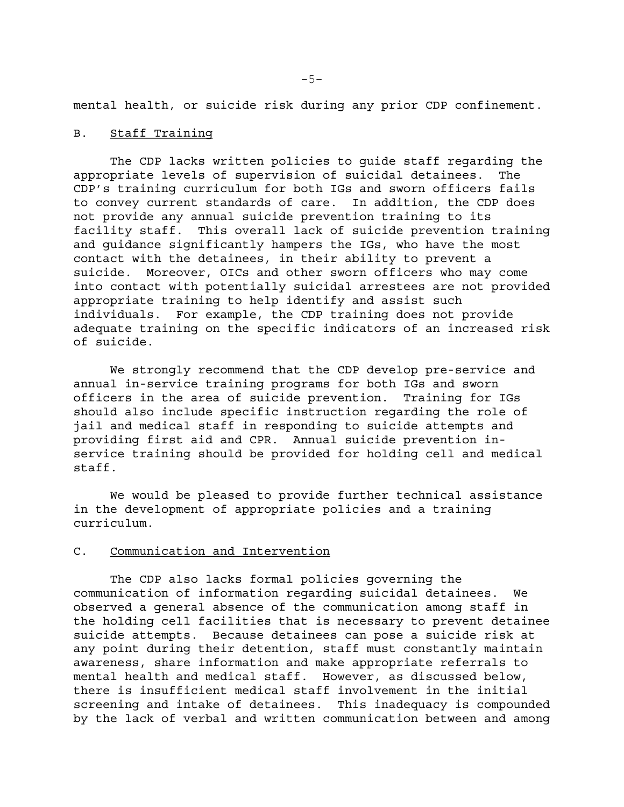mental health, or suicide risk during any prior CDP confinement.

### B. Staff Training

The CDP lacks written policies to guide staff regarding the appropriate levels of supervision of suicidal detainees. The CDP's training curriculum for both IGs and sworn officers fails to convey current standards of care. In addition, the CDP does not provide any annual suicide prevention training to its facility staff. This overall lack of suicide prevention training and guidance significantly hampers the IGs, who have the most contact with the detainees, in their ability to prevent a suicide. Moreover, OICs and other sworn officers who may come into contact with potentially suicidal arrestees are not provided appropriate training to help identify and assist such individuals. For example, the CDP training does not provide adequate training on the specific indicators of an increased risk of suicide.

We strongly recommend that the CDP develop pre-service and annual in-service training programs for both IGs and sworn officers in the area of suicide prevention. Training for IGs should also include specific instruction regarding the role of jail and medical staff in responding to suicide attempts and providing first aid and CPR. Annual suicide prevention inservice training should be provided for holding cell and medical staff.

We would be pleased to provide further technical assistance in the development of appropriate policies and a training curriculum.

#### C. Communication and Intervention

The CDP also lacks formal policies governing the communication of information regarding suicidal detainees. We observed a general absence of the communication among staff in the holding cell facilities that is necessary to prevent detainee suicide attempts. Because detainees can pose a suicide risk at any point during their detention, staff must constantly maintain awareness, share information and make appropriate referrals to mental health and medical staff. However, as discussed below, there is insufficient medical staff involvement in the initial screening and intake of detainees. This inadequacy is compounded by the lack of verbal and written communication between and among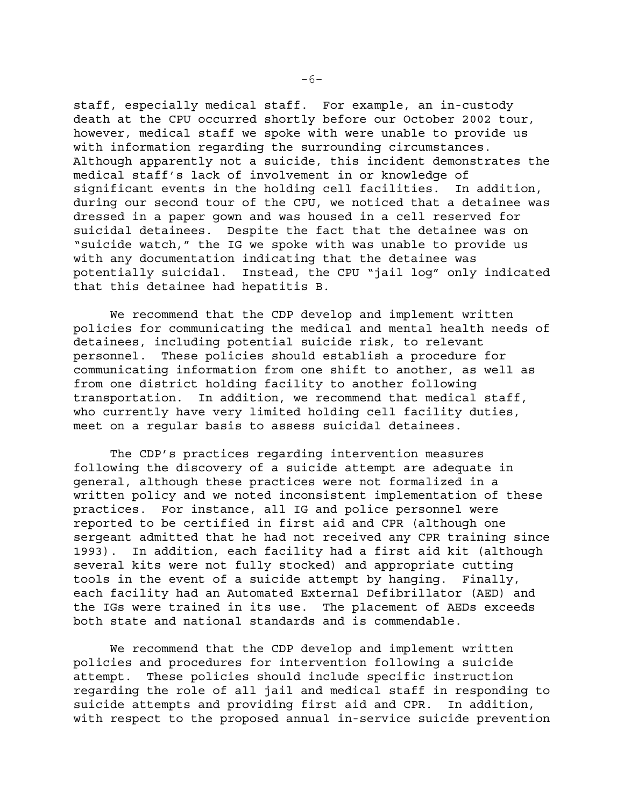staff, especially medical staff. For example, an in-custody death at the CPU occurred shortly before our October 2002 tour, however, medical staff we spoke with were unable to provide us with information regarding the surrounding circumstances. Although apparently not a suicide, this incident demonstrates the medical staff's lack of involvement in or knowledge of significant events in the holding cell facilities. In addition, during our second tour of the CPU, we noticed that a detainee was dressed in a paper gown and was housed in a cell reserved for suicidal detainees. Despite the fact that the detainee was on "suicide watch," the IG we spoke with was unable to provide us with any documentation indicating that the detainee was potentially suicidal. Instead, the CPU "jail log" only indicated that this detainee had hepatitis B.

We recommend that the CDP develop and implement written policies for communicating the medical and mental health needs of detainees, including potential suicide risk, to relevant personnel. These policies should establish a procedure for communicating information from one shift to another, as well as from one district holding facility to another following transportation. In addition, we recommend that medical staff, who currently have very limited holding cell facility duties, meet on a regular basis to assess suicidal detainees.

The CDP's practices regarding intervention measures following the discovery of a suicide attempt are adequate in general, although these practices were not formalized in a written policy and we noted inconsistent implementation of these practices. For instance, all IG and police personnel were reported to be certified in first aid and CPR (although one sergeant admitted that he had not received any CPR training since 1993). In addition, each facility had a first aid kit (although several kits were not fully stocked) and appropriate cutting tools in the event of a suicide attempt by hanging. Finally, each facility had an Automated External Defibrillator (AED) and the IGs were trained in its use. The placement of AEDs exceeds both state and national standards and is commendable.

We recommend that the CDP develop and implement written policies and procedures for intervention following a suicide attempt. These policies should include specific instruction regarding the role of all jail and medical staff in responding to suicide attempts and providing first aid and CPR. In addition, with respect to the proposed annual in-service suicide prevention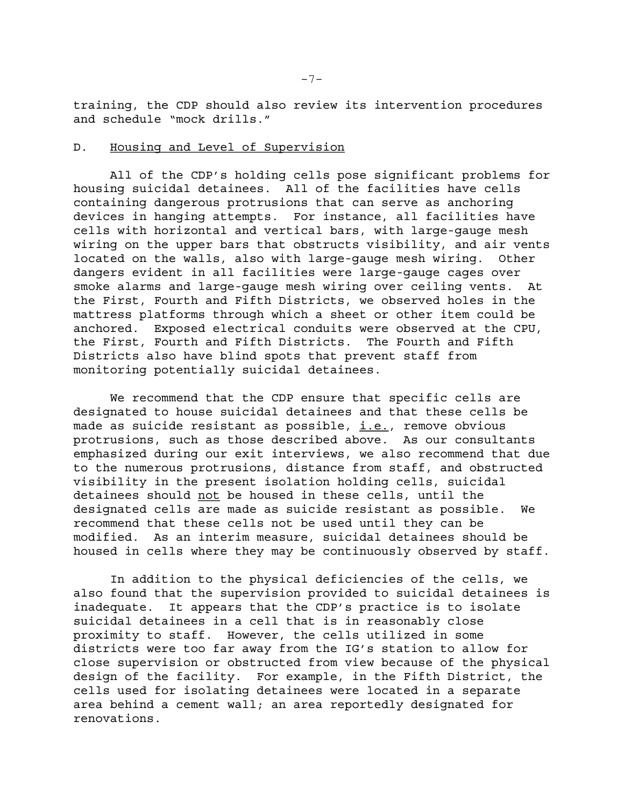training, the CDP should also review its intervention procedures and schedule "mock drills."

# D. Housing and Level of Supervision

All of the CDP's holding cells pose significant problems for housing suicidal detainees. All of the facilities have cells containing dangerous protrusions that can serve as anchoring devices in hanging attempts. For instance, all facilities have cells with horizontal and vertical bars, with large-gauge mesh wiring on the upper bars that obstructs visibility, and air vents located on the walls, also with large-gauge mesh wiring. Other dangers evident in all facilities were large-gauge cages over smoke alarms and large-gauge mesh wiring over ceiling vents. At the First, Fourth and Fifth Districts, we observed holes in the mattress platforms through which a sheet or other item could be anchored. Exposed electrical conduits were observed at the CPU, the First, Fourth and Fifth Districts. The Fourth and Fifth Districts also have blind spots that prevent staff from monitoring potentially suicidal detainees.

We recommend that the CDP ensure that specific cells are designated to house suicidal detainees and that these cells be made as suicide resistant as possible,  $i.e.,$  remove obvious protrusions, such as those described above. As our consultants emphasized during our exit interviews, we also recommend that due to the numerous protrusions, distance from staff, and obstructed visibility in the present isolation holding cells, suicidal detainees should not be housed in these cells, until the designated cells are made as suicide resistant as possible. We recommend that these cells not be used until they can be modified. As an interim measure, suicidal detainees should be housed in cells where they may be continuously observed by staff.

In addition to the physical deficiencies of the cells, we also found that the supervision provided to suicidal detainees is inadequate. It appears that the CDP's practice is to isolate suicidal detainees in a cell that is in reasonably close proximity to staff. However, the cells utilized in some districts were too far away from the IG's station to allow for close supervision or obstructed from view because of the physical design of the facility. For example, in the Fifth District, the cells used for isolating detainees were located in a separate area behind a cement wall; an area reportedly designated for renovations.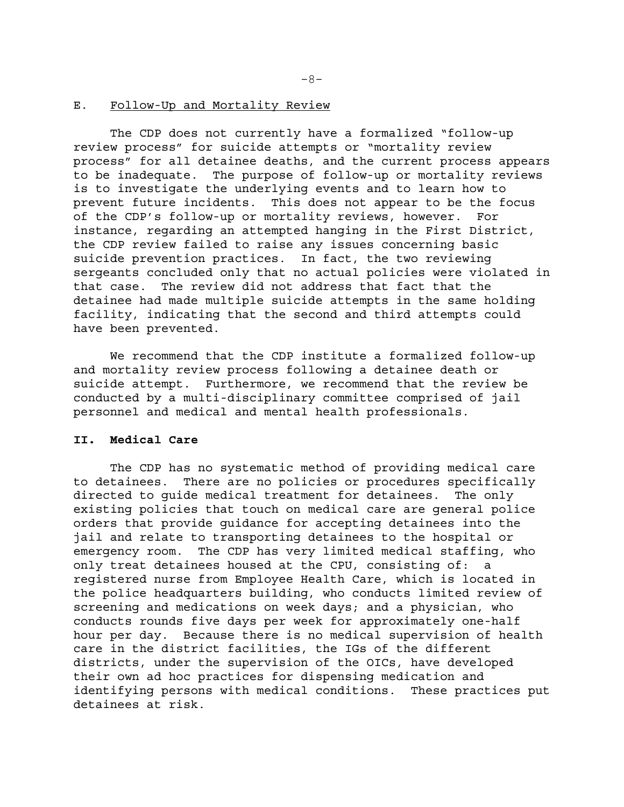#### E. Follow-Up and Mortality Review

The CDP does not currently have a formalized "follow-up review process" for suicide attempts or "mortality review process" for all detainee deaths, and the current process appears to be inadequate. The purpose of follow-up or mortality reviews is to investigate the underlying events and to learn how to prevent future incidents. This does not appear to be the focus of the CDP's follow-up or mortality reviews, however. For instance, regarding an attempted hanging in the First District, the CDP review failed to raise any issues concerning basic suicide prevention practices. In fact, the two reviewing sergeants concluded only that no actual policies were violated in that case. The review did not address that fact that the detainee had made multiple suicide attempts in the same holding facility, indicating that the second and third attempts could have been prevented.

We recommend that the CDP institute a formalized follow-up and mortality review process following a detainee death or suicide attempt. Furthermore, we recommend that the review be conducted by a multi-disciplinary committee comprised of jail personnel and medical and mental health professionals.

# **II. Medical Care**

The CDP has no systematic method of providing medical care to detainees. There are no policies or procedures specifically directed to guide medical treatment for detainees. The only existing policies that touch on medical care are general police orders that provide guidance for accepting detainees into the jail and relate to transporting detainees to the hospital or emergency room. The CDP has very limited medical staffing, who only treat detainees housed at the CPU, consisting of: a registered nurse from Employee Health Care, which is located in the police headquarters building, who conducts limited review of screening and medications on week days; and a physician, who conducts rounds five days per week for approximately one-half hour per day. Because there is no medical supervision of health care in the district facilities, the IGs of the different districts, under the supervision of the OICs, have developed their own ad hoc practices for dispensing medication and identifying persons with medical conditions. These practices put detainees at risk.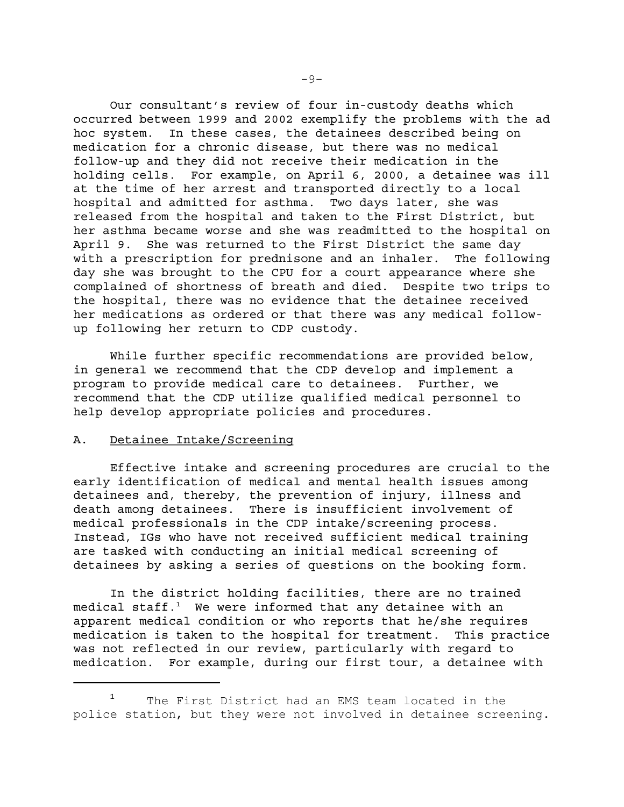Our consultant's review of four in-custody deaths which occurred between 1999 and 2002 exemplify the problems with the ad hoc system. In these cases, the detainees described being on medication for a chronic disease, but there was no medical follow-up and they did not receive their medication in the holding cells. For example, on April 6, 2000, a detainee was ill at the time of her arrest and transported directly to a local hospital and admitted for asthma. Two days later, she was released from the hospital and taken to the First District, but her asthma became worse and she was readmitted to the hospital on April 9. She was returned to the First District the same day with a prescription for prednisone and an inhaler. The following day she was brought to the CPU for a court appearance where she complained of shortness of breath and died. Despite two trips to the hospital, there was no evidence that the detainee received her medications as ordered or that there was any medical followup following her return to CDP custody.

While further specific recommendations are provided below, in general we recommend that the CDP develop and implement a program to provide medical care to detainees. Further, we recommend that the CDP utilize qualified medical personnel to help develop appropriate policies and procedures.

### A. Detainee Intake/Screening

Effective intake and screening procedures are crucial to the early identification of medical and mental health issues among detainees and, thereby, the prevention of injury, illness and death among detainees. There is insufficient involvement of medical professionals in the CDP intake/screening process. Instead, IGs who have not received sufficient medical training are tasked with conducting an initial medical screening of detainees by asking a series of questions on the booking form.

In the district holding facilities, there are no trained medical staff. $1$  We were informed that any detainee with an apparent medical condition or who reports that he/she requires medication is taken to the hospital for treatment. This practice was not reflected in our review, particularly with regard to medication. For example, during our first tour, a detainee with

<sup>1</sup>  The First District had an EMS team located in the police station, but they were not involved in detainee screening.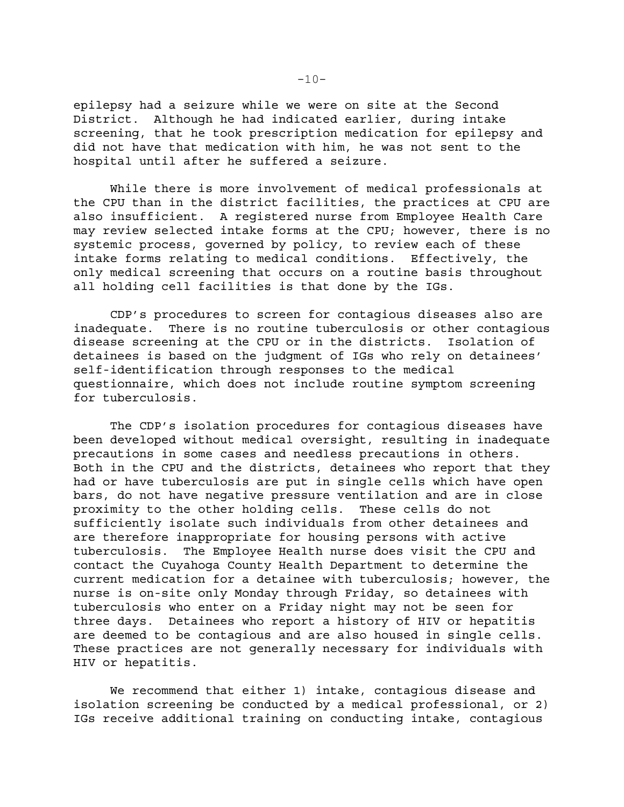epilepsy had a seizure while we were on site at the Second District. Although he had indicated earlier, during intake screening, that he took prescription medication for epilepsy and did not have that medication with him, he was not sent to the hospital until after he suffered a seizure.

While there is more involvement of medical professionals at the CPU than in the district facilities, the practices at CPU are also insufficient. A registered nurse from Employee Health Care may review selected intake forms at the CPU; however, there is no systemic process, governed by policy, to review each of these intake forms relating to medical conditions. Effectively, the only medical screening that occurs on a routine basis throughout all holding cell facilities is that done by the IGs.

CDP's procedures to screen for contagious diseases also are inadequate. There is no routine tuberculosis or other contagious disease screening at the CPU or in the districts. Isolation of detainees is based on the judgment of IGs who rely on detainees' self-identification through responses to the medical questionnaire, which does not include routine symptom screening for tuberculosis.

The CDP's isolation procedures for contagious diseases have been developed without medical oversight, resulting in inadequate precautions in some cases and needless precautions in others. Both in the CPU and the districts, detainees who report that they had or have tuberculosis are put in single cells which have open bars, do not have negative pressure ventilation and are in close proximity to the other holding cells. These cells do not sufficiently isolate such individuals from other detainees and are therefore inappropriate for housing persons with active tuberculosis. The Employee Health nurse does visit the CPU and contact the Cuyahoga County Health Department to determine the current medication for a detainee with tuberculosis; however, the nurse is on-site only Monday through Friday, so detainees with tuberculosis who enter on a Friday night may not be seen for three days. Detainees who report a history of HIV or hepatitis are deemed to be contagious and are also housed in single cells. These practices are not generally necessary for individuals with HIV or hepatitis.

We recommend that either 1) intake, contagious disease and isolation screening be conducted by a medical professional, or 2) IGs receive additional training on conducting intake, contagious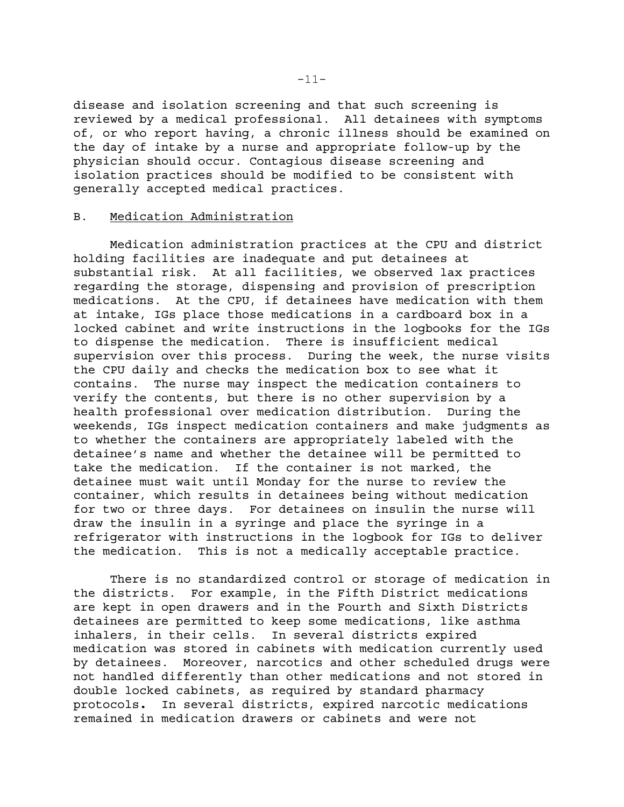disease and isolation screening and that such screening is reviewed by a medical professional. All detainees with symptoms of, or who report having, a chronic illness should be examined on the day of intake by a nurse and appropriate follow-up by the physician should occur. Contagious disease screening and isolation practices should be modified to be consistent with generally accepted medical practices.

# B. Medication Administration

Medication administration practices at the CPU and district holding facilities are inadequate and put detainees at substantial risk. At all facilities, we observed lax practices regarding the storage, dispensing and provision of prescription medications. At the CPU, if detainees have medication with them at intake, IGs place those medications in a cardboard box in a locked cabinet and write instructions in the logbooks for the IGs to dispense the medication. There is insufficient medical supervision over this process. During the week, the nurse visits the CPU daily and checks the medication box to see what it contains. The nurse may inspect the medication containers to verify the contents, but there is no other supervision by a health professional over medication distribution. During the weekends, IGs inspect medication containers and make judgments as to whether the containers are appropriately labeled with the detainee's name and whether the detainee will be permitted to take the medication. If the container is not marked, the detainee must wait until Monday for the nurse to review the container, which results in detainees being without medication for two or three days. For detainees on insulin the nurse will draw the insulin in a syringe and place the syringe in a refrigerator with instructions in the logbook for IGs to deliver the medication. This is not a medically acceptable practice.

There is no standardized control or storage of medication in the districts. For example, in the Fifth District medications are kept in open drawers and in the Fourth and Sixth Districts detainees are permitted to keep some medications, like asthma inhalers, in their cells. In several districts expired medication was stored in cabinets with medication currently used by detainees. Moreover, narcotics and other scheduled drugs were not handled differently than other medications and not stored in double locked cabinets, as required by standard pharmacy protocols**.** In several districts, expired narcotic medications remained in medication drawers or cabinets and were not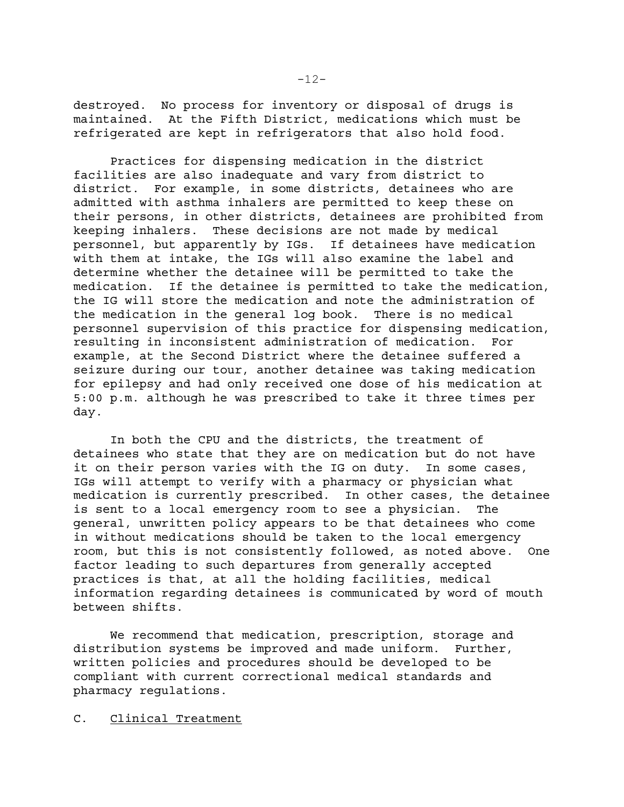destroyed. No process for inventory or disposal of drugs is maintained. At the Fifth District, medications which must be refrigerated are kept in refrigerators that also hold food.

Practices for dispensing medication in the district facilities are also inadequate and vary from district to district. For example, in some districts, detainees who are admitted with asthma inhalers are permitted to keep these on their persons, in other districts, detainees are prohibited from keeping inhalers. These decisions are not made by medical personnel, but apparently by IGs. If detainees have medication with them at intake, the IGs will also examine the label and determine whether the detainee will be permitted to take the medication. If the detainee is permitted to take the medication, the IG will store the medication and note the administration of the medication in the general log book. There is no medical personnel supervision of this practice for dispensing medication, resulting in inconsistent administration of medication. For example, at the Second District where the detainee suffered a seizure during our tour, another detainee was taking medication for epilepsy and had only received one dose of his medication at 5:00 p.m. although he was prescribed to take it three times per day.

In both the CPU and the districts, the treatment of detainees who state that they are on medication but do not have it on their person varies with the IG on duty. In some cases, IGs will attempt to verify with a pharmacy or physician what medication is currently prescribed. In other cases, the detainee is sent to a local emergency room to see a physician. The general, unwritten policy appears to be that detainees who come in without medications should be taken to the local emergency room, but this is not consistently followed, as noted above. One factor leading to such departures from generally accepted practices is that, at all the holding facilities, medical information regarding detainees is communicated by word of mouth between shifts.

We recommend that medication, prescription, storage and distribution systems be improved and made uniform. Further, written policies and procedures should be developed to be compliant with current correctional medical standards and pharmacy regulations.

### C. Clinical Treatment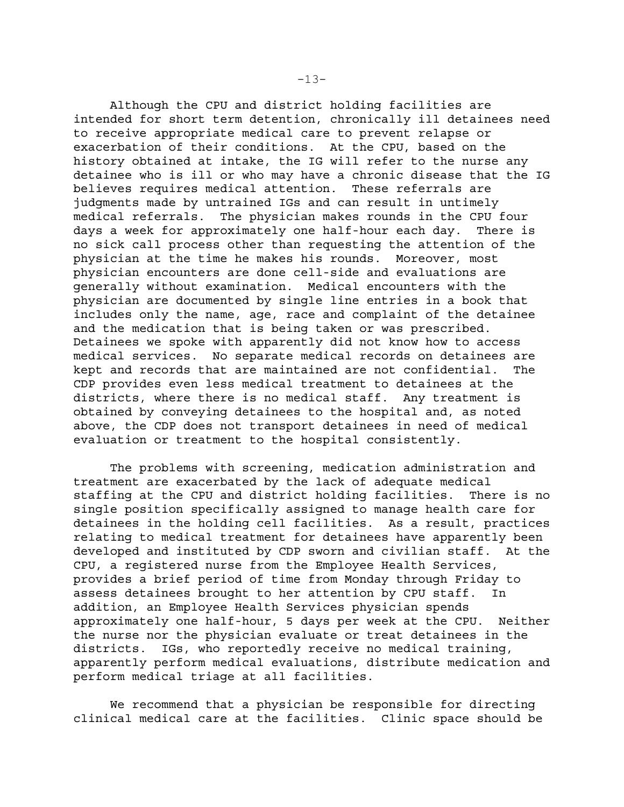Although the CPU and district holding facilities are intended for short term detention, chronically ill detainees need to receive appropriate medical care to prevent relapse or exacerbation of their conditions. At the CPU, based on the history obtained at intake, the IG will refer to the nurse any detainee who is ill or who may have a chronic disease that the IG believes requires medical attention. These referrals are judgments made by untrained IGs and can result in untimely medical referrals. The physician makes rounds in the CPU four days a week for approximately one half-hour each day. There is no sick call process other than requesting the attention of the physician at the time he makes his rounds. Moreover, most physician encounters are done cell-side and evaluations are generally without examination. Medical encounters with the physician are documented by single line entries in a book that includes only the name, age, race and complaint of the detainee and the medication that is being taken or was prescribed. Detainees we spoke with apparently did not know how to access medical services. No separate medical records on detainees are kept and records that are maintained are not confidential. The CDP provides even less medical treatment to detainees at the districts, where there is no medical staff. Any treatment is obtained by conveying detainees to the hospital and, as noted above, the CDP does not transport detainees in need of medical evaluation or treatment to the hospital consistently.

The problems with screening, medication administration and treatment are exacerbated by the lack of adequate medical staffing at the CPU and district holding facilities. There is no single position specifically assigned to manage health care for detainees in the holding cell facilities. As a result, practices relating to medical treatment for detainees have apparently been developed and instituted by CDP sworn and civilian staff. At the CPU, a registered nurse from the Employee Health Services, provides a brief period of time from Monday through Friday to assess detainees brought to her attention by CPU staff. In addition, an Employee Health Services physician spends approximately one half-hour, 5 days per week at the CPU. Neither the nurse nor the physician evaluate or treat detainees in the districts. IGs, who reportedly receive no medical training, apparently perform medical evaluations, distribute medication and perform medical triage at all facilities.

We recommend that a physician be responsible for directing clinical medical care at the facilities. Clinic space should be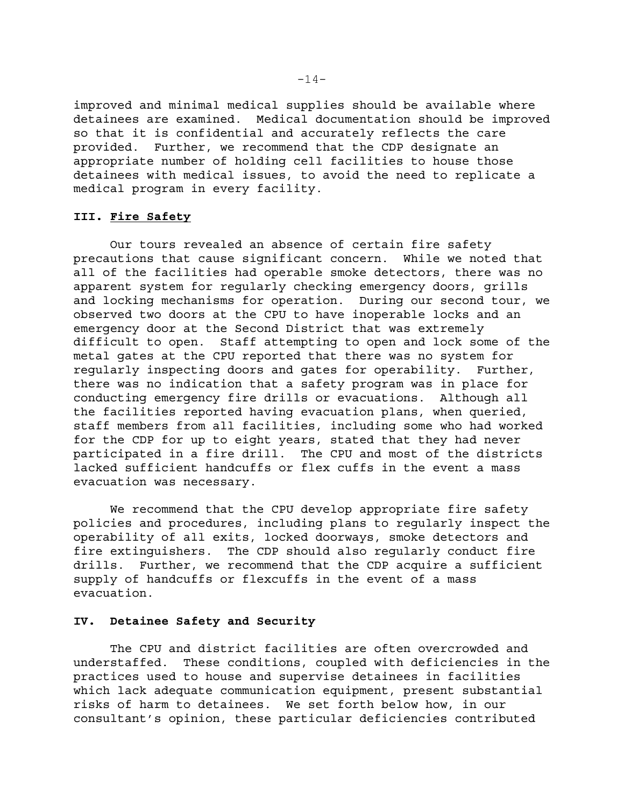improved and minimal medical supplies should be available where detainees are examined. Medical documentation should be improved so that it is confidential and accurately reflects the care provided. Further, we recommend that the CDP designate an appropriate number of holding cell facilities to house those detainees with medical issues, to avoid the need to replicate a medical program in every facility.

# **III. Fire Safety**

Our tours revealed an absence of certain fire safety precautions that cause significant concern. While we noted that all of the facilities had operable smoke detectors, there was no apparent system for regularly checking emergency doors, grills and locking mechanisms for operation. During our second tour, we observed two doors at the CPU to have inoperable locks and an emergency door at the Second District that was extremely difficult to open. Staff attempting to open and lock some of the metal gates at the CPU reported that there was no system for regularly inspecting doors and gates for operability. Further, there was no indication that a safety program was in place for conducting emergency fire drills or evacuations. Although all the facilities reported having evacuation plans, when queried, staff members from all facilities, including some who had worked for the CDP for up to eight years, stated that they had never participated in a fire drill. The CPU and most of the districts lacked sufficient handcuffs or flex cuffs in the event a mass evacuation was necessary.

We recommend that the CPU develop appropriate fire safety policies and procedures, including plans to regularly inspect the operability of all exits, locked doorways, smoke detectors and fire extinguishers. The CDP should also regularly conduct fire drills. Further, we recommend that the CDP acquire a sufficient supply of handcuffs or flexcuffs in the event of a mass evacuation.

### **IV. Detainee Safety and Security**

The CPU and district facilities are often overcrowded and understaffed. These conditions, coupled with deficiencies in the practices used to house and supervise detainees in facilities which lack adequate communication equipment, present substantial risks of harm to detainees. We set forth below how, in our consultant's opinion, these particular deficiencies contributed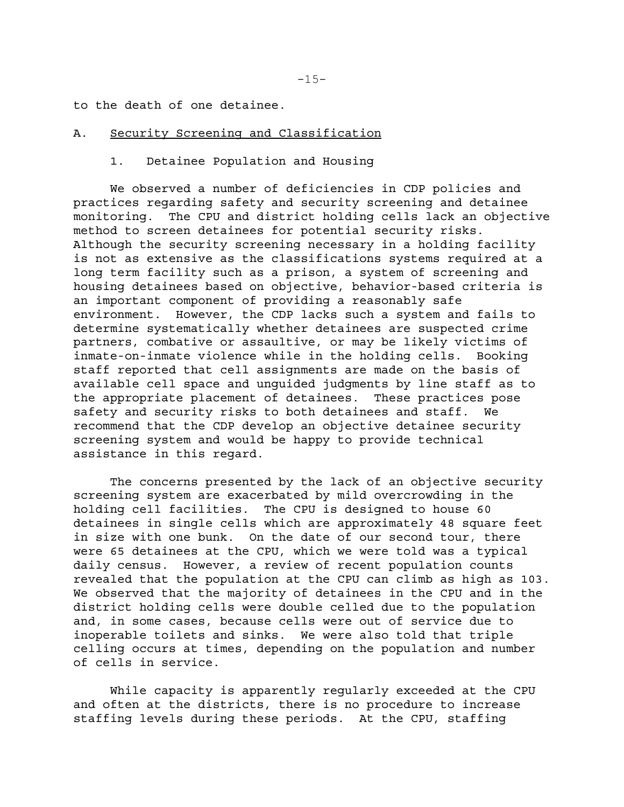to the death of one detainee.

### A. Security Screening and Classification

#### 1. Detainee Population and Housing

We observed a number of deficiencies in CDP policies and practices regarding safety and security screening and detainee monitoring. The CPU and district holding cells lack an objective method to screen detainees for potential security risks. Although the security screening necessary in a holding facility is not as extensive as the classifications systems required at a long term facility such as a prison, a system of screening and housing detainees based on objective, behavior-based criteria is an important component of providing a reasonably safe environment. However, the CDP lacks such a system and fails to determine systematically whether detainees are suspected crime partners, combative or assaultive, or may be likely victims of inmate-on-inmate violence while in the holding cells. Booking staff reported that cell assignments are made on the basis of available cell space and unguided judgments by line staff as to the appropriate placement of detainees. These practices pose safety and security risks to both detainees and staff. We recommend that the CDP develop an objective detainee security screening system and would be happy to provide technical assistance in this regard.

The concerns presented by the lack of an objective security screening system are exacerbated by mild overcrowding in the holding cell facilities. The CPU is designed to house 60 detainees in single cells which are approximately 48 square feet in size with one bunk. On the date of our second tour, there were 65 detainees at the CPU, which we were told was a typical daily census. However, a review of recent population counts revealed that the population at the CPU can climb as high as 103. We observed that the majority of detainees in the CPU and in the district holding cells were double celled due to the population and, in some cases, because cells were out of service due to inoperable toilets and sinks. We were also told that triple celling occurs at times, depending on the population and number of cells in service.

While capacity is apparently regularly exceeded at the CPU and often at the districts, there is no procedure to increase staffing levels during these periods. At the CPU, staffing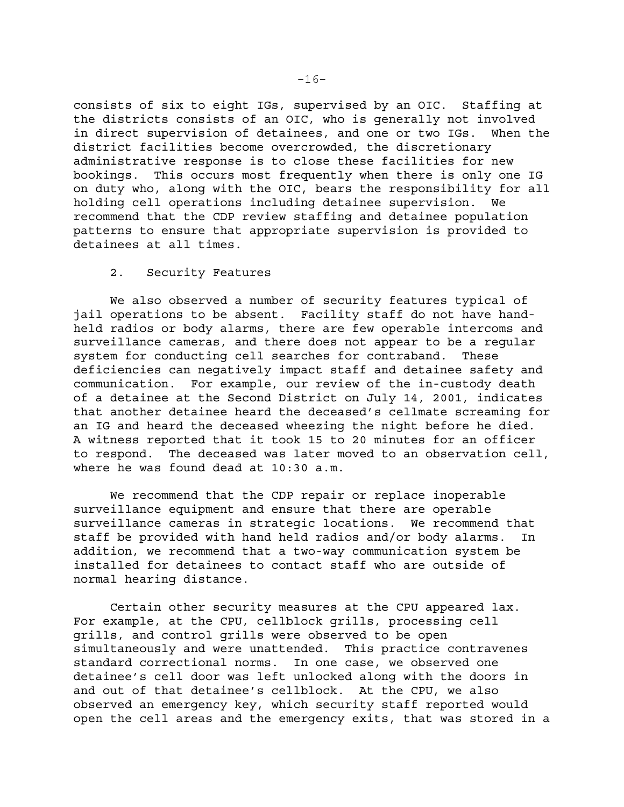consists of six to eight IGs, supervised by an OIC. Staffing at the districts consists of an OIC, who is generally not involved in direct supervision of detainees, and one or two IGs. When the district facilities become overcrowded, the discretionary administrative response is to close these facilities for new bookings. This occurs most frequently when there is only one IG on duty who, along with the OIC, bears the responsibility for all holding cell operations including detainee supervision. We recommend that the CDP review staffing and detainee population patterns to ensure that appropriate supervision is provided to detainees at all times.

### 2. Security Features

We also observed a number of security features typical of jail operations to be absent. Facility staff do not have handheld radios or body alarms, there are few operable intercoms and surveillance cameras, and there does not appear to be a regular system for conducting cell searches for contraband. These deficiencies can negatively impact staff and detainee safety and communication. For example, our review of the in-custody death of a detainee at the Second District on July 14, 2001, indicates that another detainee heard the deceased's cellmate screaming for an IG and heard the deceased wheezing the night before he died. A witness reported that it took 15 to 20 minutes for an officer to respond. The deceased was later moved to an observation cell, where he was found dead at 10:30 a.m.

We recommend that the CDP repair or replace inoperable surveillance equipment and ensure that there are operable surveillance cameras in strategic locations. We recommend that staff be provided with hand held radios and/or body alarms. In addition, we recommend that a two-way communication system be installed for detainees to contact staff who are outside of normal hearing distance.

Certain other security measures at the CPU appeared lax. For example, at the CPU, cellblock grills, processing cell grills, and control grills were observed to be open simultaneously and were unattended. This practice contravenes standard correctional norms. In one case, we observed one detainee's cell door was left unlocked along with the doors in and out of that detainee's cellblock. At the CPU, we also observed an emergency key, which security staff reported would open the cell areas and the emergency exits, that was stored in a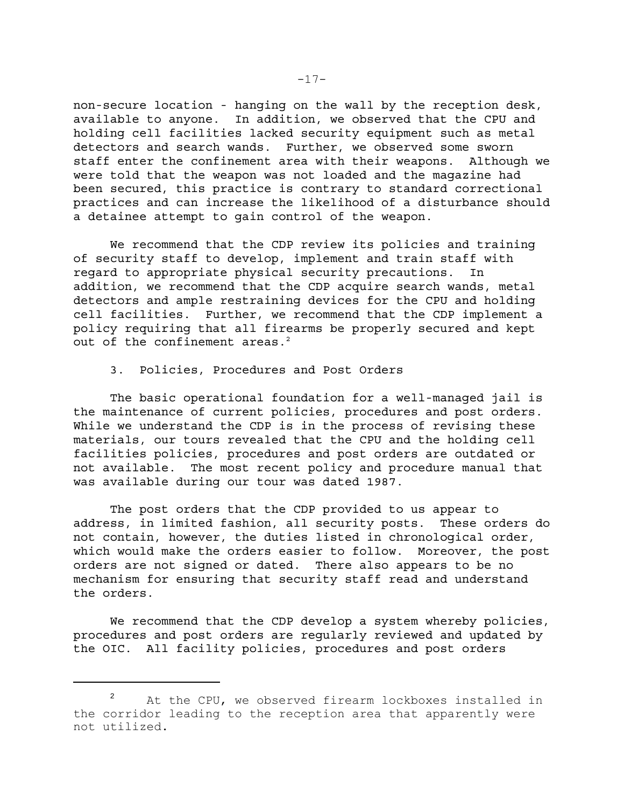non-secure location - hanging on the wall by the reception desk, available to anyone. In addition, we observed that the CPU and holding cell facilities lacked security equipment such as metal detectors and search wands. Further, we observed some sworn staff enter the confinement area with their weapons. Although we were told that the weapon was not loaded and the magazine had been secured, this practice is contrary to standard correctional practices and can increase the likelihood of a disturbance should a detainee attempt to gain control of the weapon.

We recommend that the CDP review its policies and training of security staff to develop, implement and train staff with regard to appropriate physical security precautions. In addition, we recommend that the CDP acquire search wands, metal detectors and ample restraining devices for the CPU and holding cell facilities. Further, we recommend that the CDP implement a policy requiring that all firearms be properly secured and kept out of the confinement areas. $2$ 

3. Policies, Procedures and Post Orders

The basic operational foundation for a well-managed jail is the maintenance of current policies, procedures and post orders. While we understand the CDP is in the process of revising these materials, our tours revealed that the CPU and the holding cell facilities policies, procedures and post orders are outdated or not available. The most recent policy and procedure manual that was available during our tour was dated 1987.

The post orders that the CDP provided to us appear to address, in limited fashion, all security posts. These orders do not contain, however, the duties listed in chronological order, which would make the orders easier to follow. Moreover, the post orders are not signed or dated. There also appears to be no mechanism for ensuring that security staff read and understand the orders.

We recommend that the CDP develop a system whereby policies, procedures and post orders are regularly reviewed and updated by the OIC. All facility policies, procedures and post orders

<sup>2</sup>  At the CPU, we observed firearm lockboxes installed in the corridor leading to the reception area that apparently were not utilized.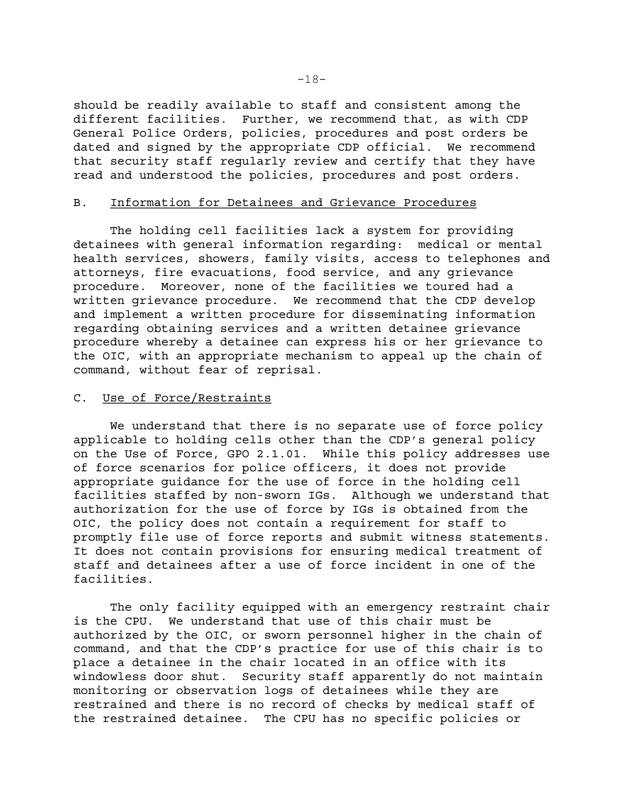should be readily available to staff and consistent among the different facilities. Further, we recommend that, as with CDP General Police Orders, policies, procedures and post orders be dated and signed by the appropriate CDP official. We recommend that security staff regularly review and certify that they have read and understood the policies, procedures and post orders.

### B. Information for Detainees and Grievance Procedures

The holding cell facilities lack a system for providing detainees with general information regarding: medical or mental health services, showers, family visits, access to telephones and attorneys, fire evacuations, food service, and any grievance procedure. Moreover, none of the facilities we toured had a written grievance procedure. We recommend that the CDP develop and implement a written procedure for disseminating information regarding obtaining services and a written detainee grievance procedure whereby a detainee can express his or her grievance to the OIC, with an appropriate mechanism to appeal up the chain of command, without fear of reprisal.

#### C. Use of Force/Restraints

We understand that there is no separate use of force policy applicable to holding cells other than the CDP's general policy on the Use of Force, GPO 2.1.01. While this policy addresses use of force scenarios for police officers, it does not provide appropriate guidance for the use of force in the holding cell facilities staffed by non-sworn IGs. Although we understand that authorization for the use of force by IGs is obtained from the OIC, the policy does not contain a requirement for staff to promptly file use of force reports and submit witness statements. It does not contain provisions for ensuring medical treatment of staff and detainees after a use of force incident in one of the facilities.

The only facility equipped with an emergency restraint chair is the CPU. We understand that use of this chair must be authorized by the OIC, or sworn personnel higher in the chain of command, and that the CDP's practice for use of this chair is to place a detainee in the chair located in an office with its windowless door shut. Security staff apparently do not maintain monitoring or observation logs of detainees while they are restrained and there is no record of checks by medical staff of the restrained detainee. The CPU has no specific policies or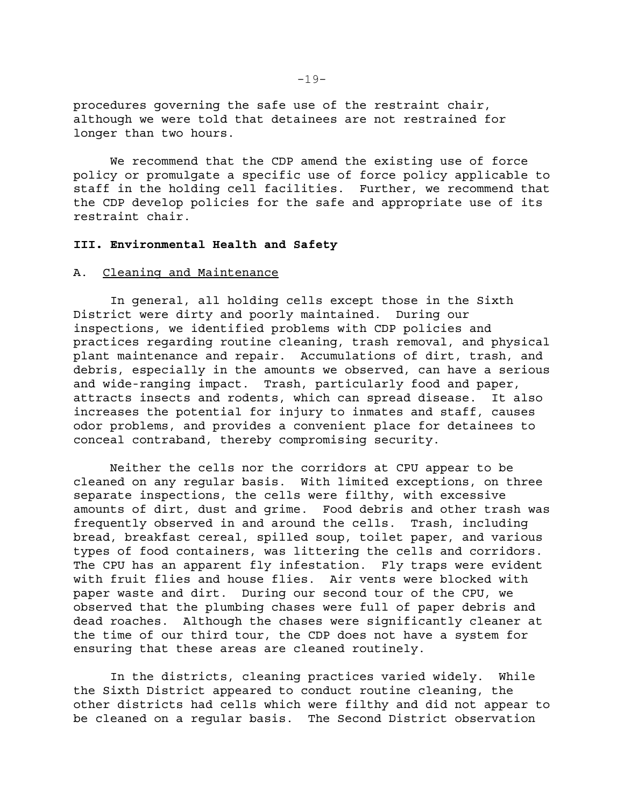procedures governing the safe use of the restraint chair, although we were told that detainees are not restrained for longer than two hours.

We recommend that the CDP amend the existing use of force policy or promulgate a specific use of force policy applicable to staff in the holding cell facilities. Further, we recommend that the CDP develop policies for the safe and appropriate use of its restraint chair.

### **III. Environmental Health and Safety**

### A. Cleaning and Maintenance

In general, all holding cells except those in the Sixth District were dirty and poorly maintained. During our inspections, we identified problems with CDP policies and practices regarding routine cleaning, trash removal, and physical plant maintenance and repair. Accumulations of dirt, trash, and debris, especially in the amounts we observed, can have a serious and wide-ranging impact. Trash, particularly food and paper, attracts insects and rodents, which can spread disease. It also increases the potential for injury to inmates and staff, causes odor problems, and provides a convenient place for detainees to conceal contraband, thereby compromising security.

Neither the cells nor the corridors at CPU appear to be cleaned on any regular basis. With limited exceptions, on three separate inspections, the cells were filthy, with excessive amounts of dirt, dust and grime. Food debris and other trash was frequently observed in and around the cells. Trash, including bread, breakfast cereal, spilled soup, toilet paper, and various types of food containers, was littering the cells and corridors. The CPU has an apparent fly infestation. Fly traps were evident with fruit flies and house flies. Air vents were blocked with paper waste and dirt. During our second tour of the CPU, we observed that the plumbing chases were full of paper debris and dead roaches. Although the chases were significantly cleaner at the time of our third tour, the CDP does not have a system for ensuring that these areas are cleaned routinely.

In the districts, cleaning practices varied widely. While the Sixth District appeared to conduct routine cleaning, the other districts had cells which were filthy and did not appear to be cleaned on a regular basis. The Second District observation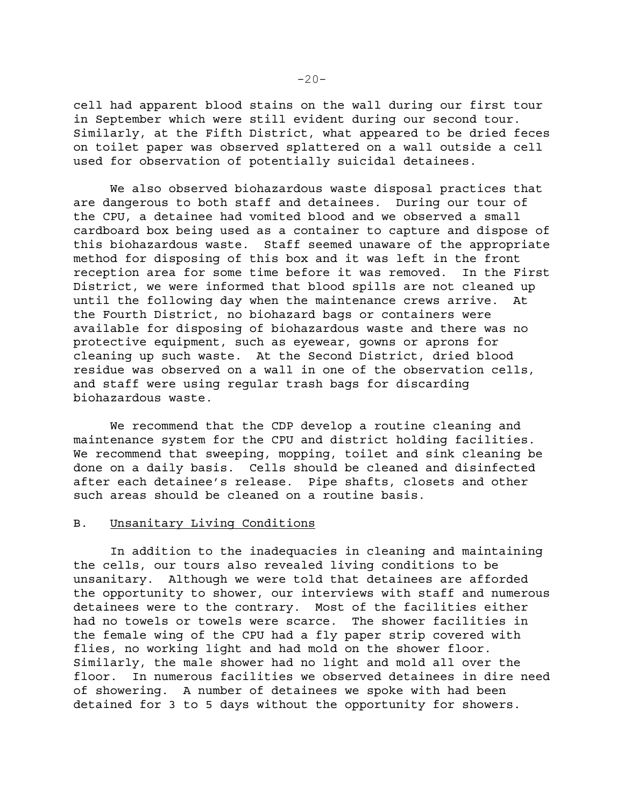cell had apparent blood stains on the wall during our first tour in September which were still evident during our second tour. Similarly, at the Fifth District, what appeared to be dried feces on toilet paper was observed splattered on a wall outside a cell used for observation of potentially suicidal detainees.

We also observed biohazardous waste disposal practices that are dangerous to both staff and detainees. During our tour of the CPU, a detainee had vomited blood and we observed a small cardboard box being used as a container to capture and dispose of this biohazardous waste. Staff seemed unaware of the appropriate method for disposing of this box and it was left in the front reception area for some time before it was removed. In the First District, we were informed that blood spills are not cleaned up until the following day when the maintenance crews arrive. At the Fourth District, no biohazard bags or containers were available for disposing of biohazardous waste and there was no protective equipment, such as eyewear, gowns or aprons for cleaning up such waste. At the Second District, dried blood residue was observed on a wall in one of the observation cells, and staff were using regular trash bags for discarding biohazardous waste.

We recommend that the CDP develop a routine cleaning and maintenance system for the CPU and district holding facilities. We recommend that sweeping, mopping, toilet and sink cleaning be done on a daily basis. Cells should be cleaned and disinfected after each detainee's release. Pipe shafts, closets and other such areas should be cleaned on a routine basis.

### B. Unsanitary Living Conditions

In addition to the inadequacies in cleaning and maintaining the cells, our tours also revealed living conditions to be unsanitary. Although we were told that detainees are afforded the opportunity to shower, our interviews with staff and numerous detainees were to the contrary. Most of the facilities either had no towels or towels were scarce. The shower facilities in the female wing of the CPU had a fly paper strip covered with flies, no working light and had mold on the shower floor. Similarly, the male shower had no light and mold all over the floor. In numerous facilities we observed detainees in dire need of showering. A number of detainees we spoke with had been detained for 3 to 5 days without the opportunity for showers.